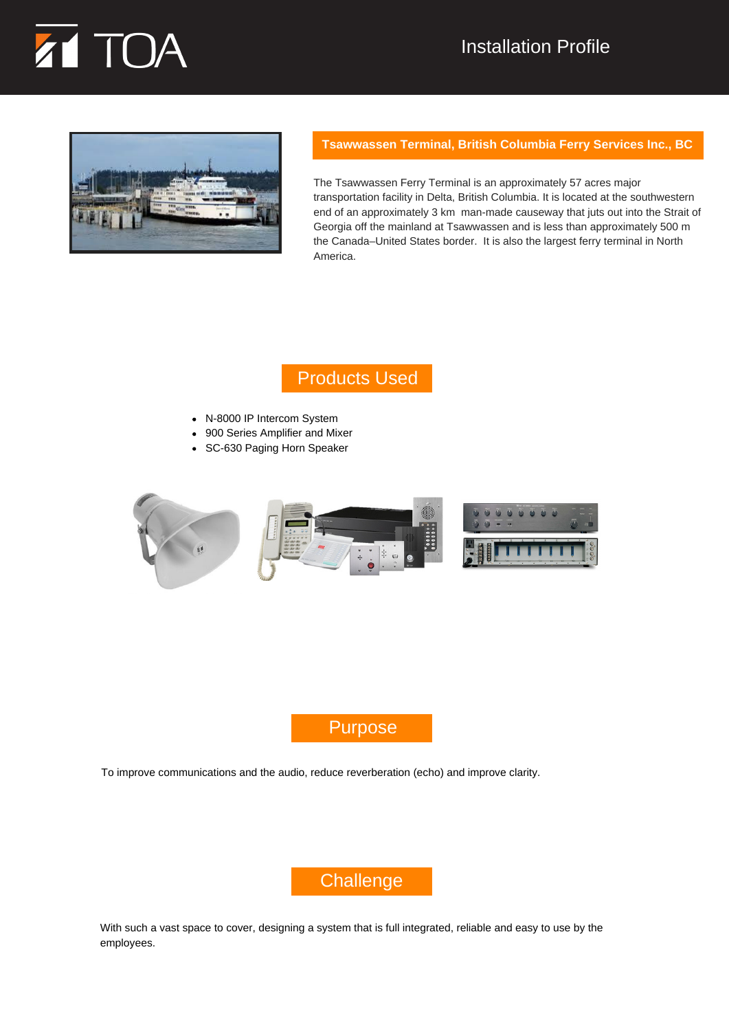# TOA

## Installation Profile



#### **Tsawwassen Terminal, British Columbia Ferry Services Inc., BC**

The Tsawwassen Ferry Terminal is an approximately 57 acres major transportation facility in Delta, British Columbia. It is located at the southwestern end of an approximately 3 km man-made causeway that juts out into the Strait of Georgia off the mainland at Tsawwassen and is less than approximately 500 m the Canada–United States border. It is also the largest ferry terminal in North America.

## Products Used

- N-8000 IP Intercom System
- 900 Series Amplifier and Mixer
- SC-630 Paging Horn Speaker



## Purpose

To improve communications and the audio, reduce reverberation (echo) and improve clarity.



With such a vast space to cover, designing a system that is full integrated, reliable and easy to use by the employees.